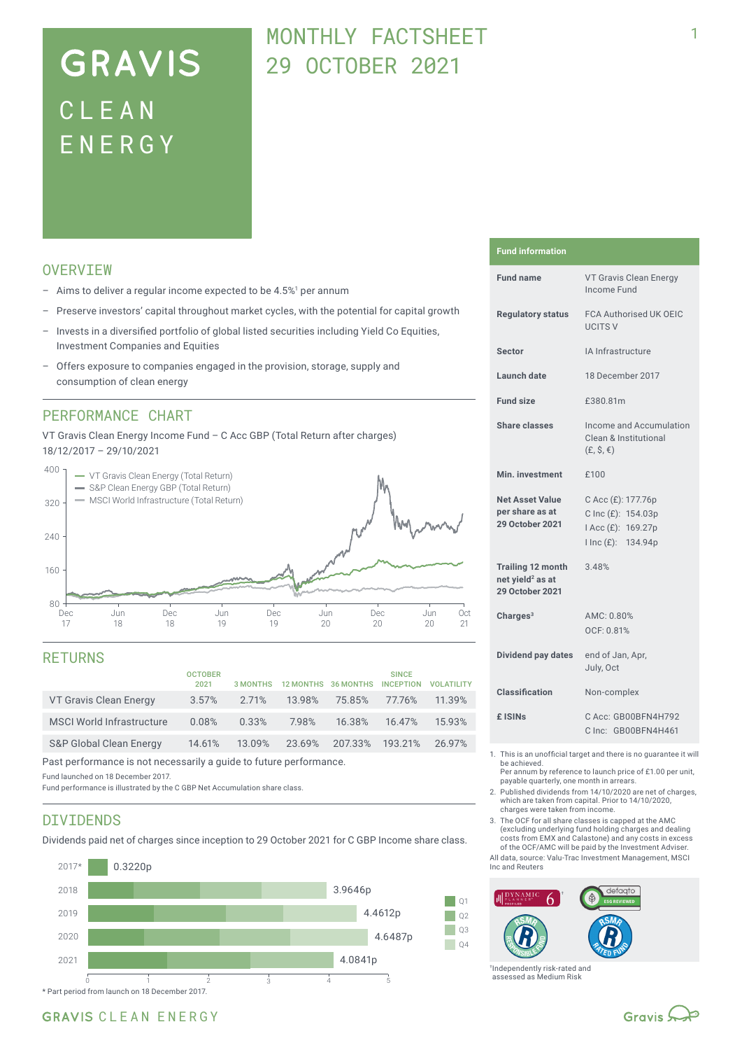# **GRAVIS** CLEA N ENERG Y

## MONTHLY FACTSHEFT 29 OCTOBER 2021

### **OVERVTEW**

- $-$  Aims to deliver a regular income expected to be 4.5%<sup>1</sup> per annum
- Preserve investors' capital throughout market cycles, with the potential for capital growth
- Invests in a diversified portfolio of global listed securities including Yield Co Equities, Investment Companies and Equities
- Offers exposure to companies engaged in the provision, storage, supply and consumption of clean energy

### PERFORMANCE CHART

VT Gravis Clean Energy Income Fund – C Acc GBP (Total Return after charges) 18/12/2017 – 29/10/2021



### RETURNS

|                                    | <b>OCTOBER</b><br>2021 |        | 3 MONTHS 12 MONTHS 36 MONTHS |                        | <b>SINCE</b><br><b>INCEPTION</b> | <b>VOLATILITY</b> |
|------------------------------------|------------------------|--------|------------------------------|------------------------|----------------------------------|-------------------|
| VT Gravis Clean Energy             | $3.57\%$               | 2.71%  | 13.98%                       | 75.85%                 | 77.76%                           | 11.39%            |
| <b>MSCI World Infrastructure</b>   | 0.08%                  | 0.33%  | 7.98%                        | 16.38%                 | 16.47%                           | 15.93%            |
| <b>S&amp;P Global Clean Energy</b> | 14.61%                 | 13.09% |                              | 23.69% 207.33% 193.21% |                                  | 26.97%            |
|                                    |                        |        |                              |                        |                                  |                   |

Past performance is not necessarily a guide to future performance.

Fund launched on 18 December 2017.

Fund performance is illustrated by the C GBP Net Accumulation share class.

### DIVIDENDS

Dividends paid net of charges since inception to 29 October 2021 for C GBP Income share class.



#### **Fund information**

| <b>Fund name</b>                                                            | VT Gravis Clean Energy<br>Income Fund                                                |  |  |
|-----------------------------------------------------------------------------|--------------------------------------------------------------------------------------|--|--|
| <b>Regulatory status</b>                                                    | <b>FCA Authorised UK OEIC</b><br><b>UCITS V</b>                                      |  |  |
| <b>Sector</b>                                                               | IA Infrastructure                                                                    |  |  |
| <b>Launch date</b>                                                          | 18 December 2017                                                                     |  |  |
| <b>Fund size</b>                                                            | £380.81m                                                                             |  |  |
| Share classes                                                               | Income and Accumulation<br>Clean & Institutional<br>$(E, \hat{S}, \epsilon)$         |  |  |
| Min. investment                                                             | £100                                                                                 |  |  |
| <b>Net Asset Value</b><br>per share as at<br><b>29 October 2021</b>         | C Acc (£): 177.76p<br>C Inc (£): 154.03p<br>I Acc (£): 169.27p<br>I Inc (£): 134.94p |  |  |
| <b>Trailing 12 month</b><br>net yield <sup>2</sup> as at<br>29 October 2021 | 3.48%                                                                                |  |  |
| Charges <sup>3</sup>                                                        | AMC: 0.80%<br>OCF: 0.81%                                                             |  |  |
| Dividend pay dates                                                          | end of Jan, Apr,<br>July, Oct                                                        |  |  |
| Classification                                                              | Non-complex                                                                          |  |  |
| £ ISIN <sub>S</sub>                                                         | C Acc: GB00BFN4H792<br>Clnc: GB00BFN4H461                                            |  |  |
|                                                                             |                                                                                      |  |  |

1. This is an unofficial target and there is no guarantee it will be achieved.

Per annum by reference to launch price of £1.00 per unit, payable quarterly, one month in arrears.

2. Published dividends from 14/10/2020 are net of charges, which are taken from capital. Prior to 14/10/2020, charges were taken from income.

3. The OCF for all share classes is capped at the AMC (excluding underlying fund holding charges and dealing costs from EMX and Calastone) and any costs in excess of the OCF/AMC will be paid by the Investment Adviser.

All data, source: Valu-Trac Investment Management, MSCI Inc and Reuters



†Independently risk-rated and assessed as Medium Risk

## GRAVIS CLEAN ENERGY

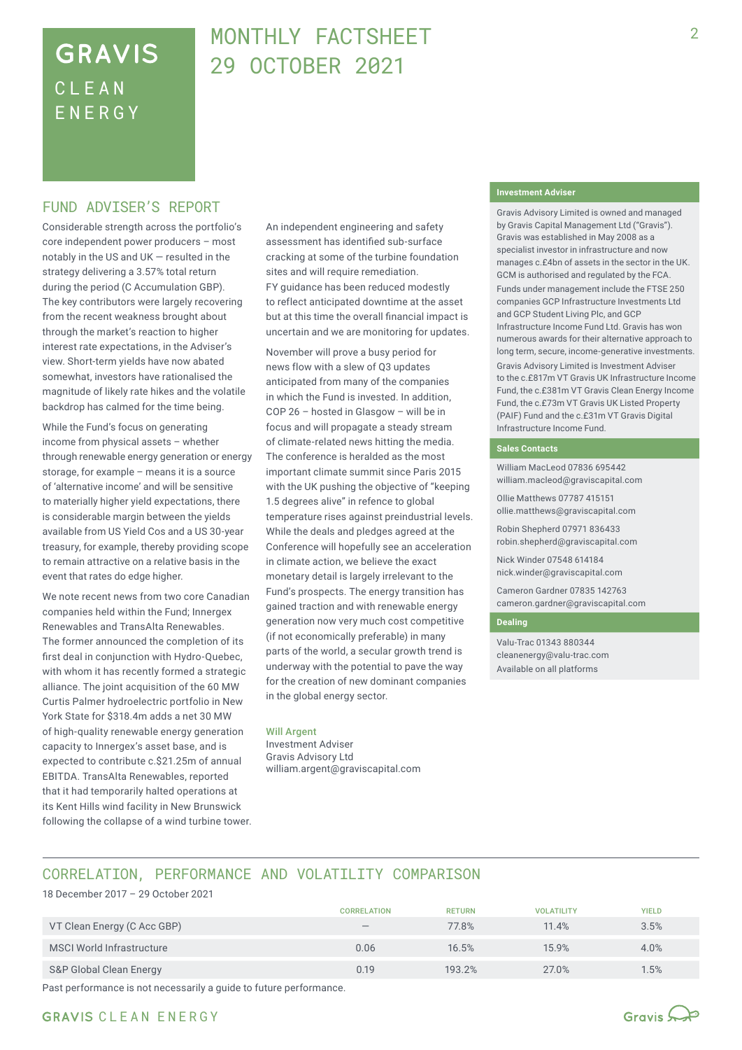## **GRAVIS** CLEA N ENERG Y

## MONTHLY FACTSHEFT 29 OCTOBER 2021

### FUND ADVISER'S REPORT

Considerable strength across the portfolio's core independent power producers – most notably in the US and UK — resulted in the strategy delivering a 3.57% total return during the period (C Accumulation GBP). The key contributors were largely recovering from the recent weakness brought about through the market's reaction to higher interest rate expectations, in the Adviser's view. Short-term yields have now abated somewhat, investors have rationalised the magnitude of likely rate hikes and the volatile backdrop has calmed for the time being.

While the Fund's focus on generating income from physical assets – whether through renewable energy generation or energy storage, for example – means it is a source of 'alternative income' and will be sensitive to materially higher yield expectations, there is considerable margin between the yields available from US Yield Cos and a US 30-year treasury, for example, thereby providing scope to remain attractive on a relative basis in the event that rates do edge higher.

We note recent news from two core Canadian companies held within the Fund; Innergex Renewables and TransAlta Renewables. The former announced the completion of its first deal in conjunction with Hydro-Quebec, with whom it has recently formed a strategic alliance. The joint acquisition of the 60 MW Curtis Palmer hydroelectric portfolio in New York State for \$318.4m adds a net 30 MW of high-quality renewable energy generation capacity to Innergex's asset base, and is expected to contribute c.\$21.25m of annual EBITDA. TransAlta Renewables, reported that it had temporarily halted operations at its Kent Hills wind facility in New Brunswick following the collapse of a wind turbine tower. An independent engineering and safety assessment has identified sub‑surface cracking at some of the turbine foundation sites and will require remediation. FY guidance has been reduced modestly to reflect anticipated downtime at the asset but at this time the overall financial impact is uncertain and we are monitoring for updates.

November will prove a busy period for news flow with a slew of Q3 updates anticipated from many of the companies in which the Fund is invested. In addition, COP 26 – hosted in Glasgow – will be in focus and will propagate a steady stream of climate-related news hitting the media. The conference is heralded as the most important climate summit since Paris 2015 with the UK pushing the objective of "keeping 1.5 degrees alive" in refence to global temperature rises against preindustrial levels. While the deals and pledges agreed at the Conference will hopefully see an acceleration in climate action, we believe the exact monetary detail is largely irrelevant to the Fund's prospects. The energy transition has gained traction and with renewable energy generation now very much cost competitive (if not economically preferable) in many parts of the world, a secular growth trend is underway with the potential to pave the way for the creation of new dominant companies in the global energy sector.

#### Will Argent

Investment Adviser Gravis Advisory Ltd william.argent@graviscapital.com

#### **Investment Adviser**

Gravis Advisory Limited is owned and managed by Gravis Capital Management Ltd ("Gravis"). Gravis was established in May 2008 as a specialist investor in infrastructure and now manages c.£4bn of assets in the sector in the UK. GCM is authorised and regulated by the FCA.

Funds under management include the FTSE 250 companies GCP Infrastructure Investments Ltd and GCP Student Living Plc, and GCP Infrastructure Income Fund Ltd. Gravis has won numerous awards for their alternative approach to long term, secure, income-generative investments. Gravis Advisory Limited is Investment Adviser to the c.£817m VT Gravis UK Infrastructure Income Fund, the c.£381m VT Gravis Clean Energy Income Fund, the c.£73m VT Gravis UK Listed Property (PAIF) Fund and the c.£31m VT Gravis Digital Infrastructure Income Fund.

#### **Sales Contacts**

William MacLeod 07836 695442 william.macleod@graviscapital.com

Ollie Matthews 07787 415151 ollie.matthews@graviscapital.com

Robin Shepherd 07971 836433 robin.shepherd@graviscapital.com

Nick Winder 07548 614184 nick.winder@graviscapital.com

Cameron Gardner 07835 142763 cameron.gardner@graviscapital.com

#### **Dealing**

Valu-Trac 01343 880344 cleanenergy@valu-trac.com Available on all platforms

## CORRELATION, PERFORMANCE AND VOLATILITY COMPARISON

18 December 2017 – 29 October 2021

|                                  | <b>CORRELATION</b>              | <b>RETURN</b> | <b>VOLATILITY</b> | <b>YIELD</b> |
|----------------------------------|---------------------------------|---------------|-------------------|--------------|
| VT Clean Energy (C Acc GBP)      | $\hspace{0.1mm}-\hspace{0.1mm}$ | 77.8%         | 11.4%             | 3.5%         |
| <b>MSCI World Infrastructure</b> | 0.06                            | 16.5%         | 15.9%             | 4.0%         |
| S&P Global Clean Energy          | 0.19                            | 193.2%        | 27.0%             | 1.5%         |

Past performance is not necessarily a guide to future performance.

GRAVIS CLEAN ENERGY